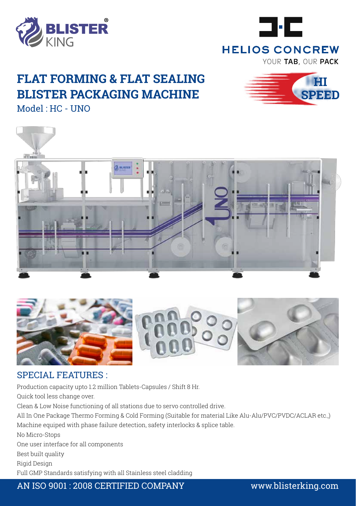



**HI**

**SPEED**

# **FLAT FORMING & FLAT SEALING BLISTER PACKAGING MACHINE**

Model : HC - UNO





### SPECIAL FEATURES :

Production capacity upto 1.2 million Tablets-Capsules / Shift 8 Hr. Quick tool less change over. Clean & Low Noise functioning of all stations due to servo controlled drive. All In One Package Thermo Forming & Cold Forming (Suitable for material Like Alu-Alu/PVC/PVDC/ACLAR etc.,) Machine equiped with phase failure detection, safety interlocks & splice table. No Micro-Stops One user interface for all components Best built quality Rigid Design Full GMP Standards satisfying with all Stainless steel cladding

### AN ISO 9001 : 2008 CERTIFIED COMPANY www.blisterking.com